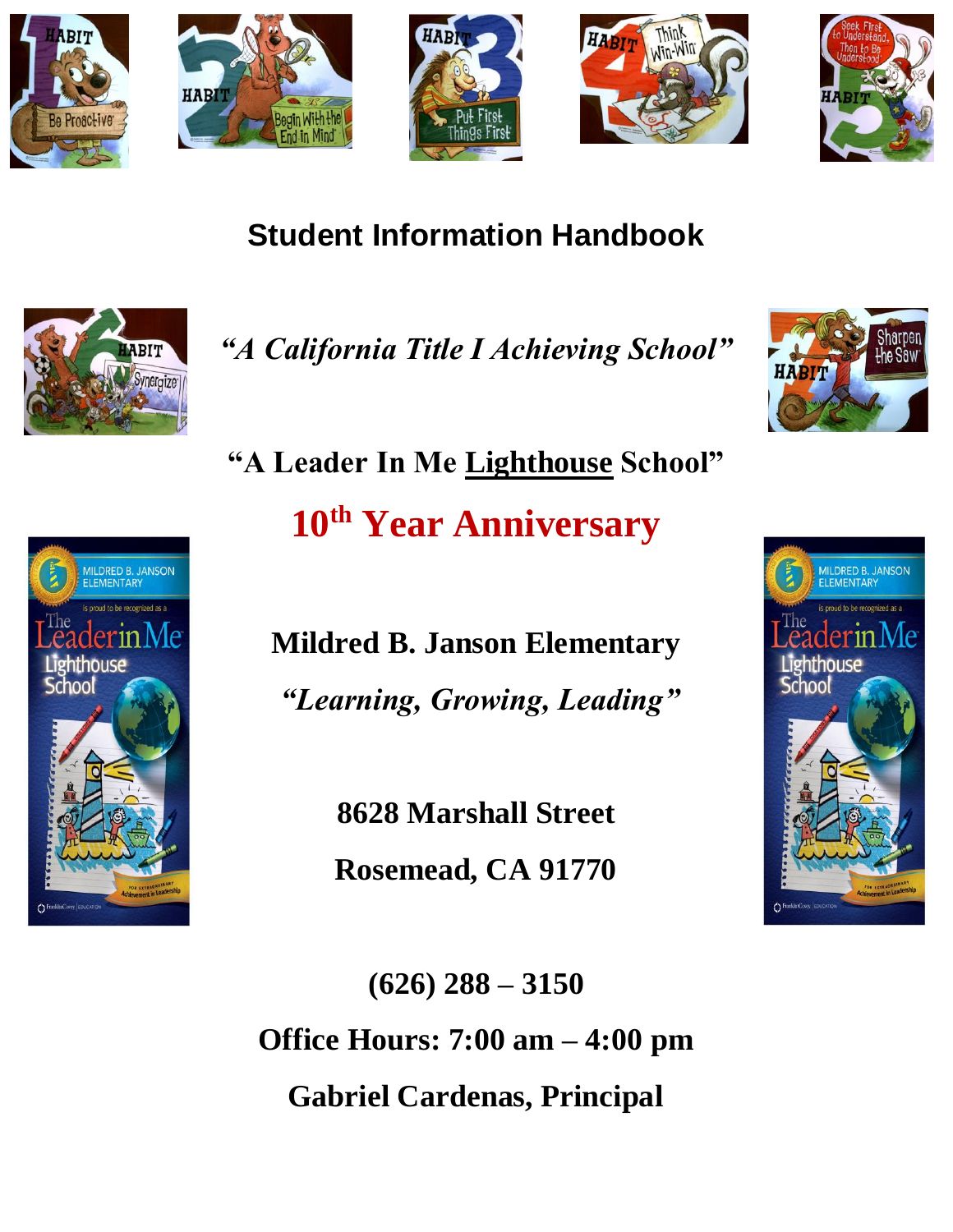











**"A Leader In Me Lighthouse School" 10th Year Anniversary**

**Mildred B. Janson Elementary** *"Learning, Growing, Leading"*

**8628 Marshall Street**

**Rosemead, CA 91770**

**(626) 288 – 3150 Office Hours: 7:00 am – 4:00 pm Gabriel Cardenas, Principal**

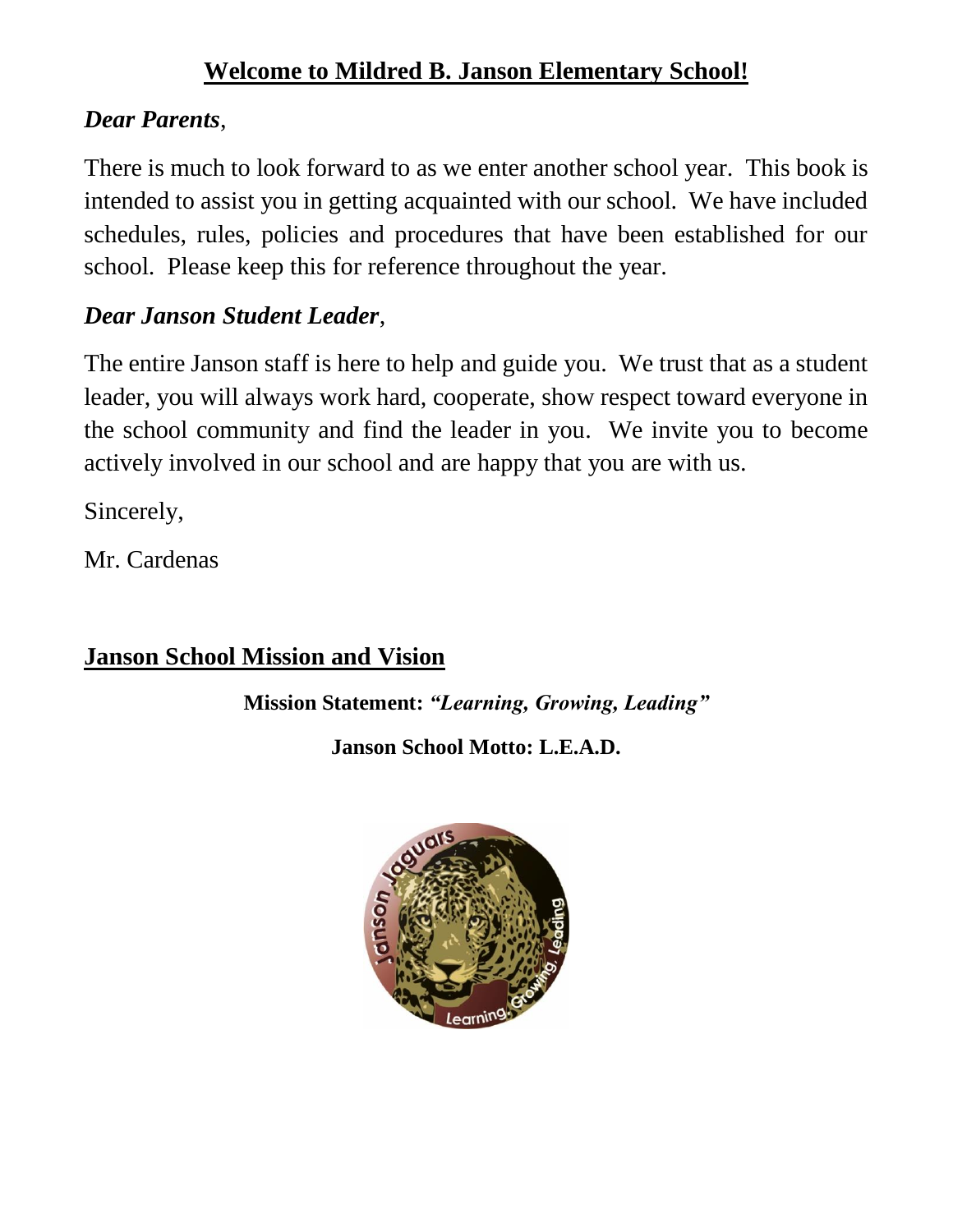# **Welcome to Mildred B. Janson Elementary School!**

## *Dear Parents*,

There is much to look forward to as we enter another school year. This book is intended to assist you in getting acquainted with our school. We have included schedules, rules, policies and procedures that have been established for our school. Please keep this for reference throughout the year.

# *Dear Janson Student Leader*,

The entire Janson staff is here to help and guide you. We trust that as a student leader, you will always work hard, cooperate, show respect toward everyone in the school community and find the leader in you. We invite you to become actively involved in our school and are happy that you are with us.

Sincerely,

Mr. Cardenas

# **Janson School Mission and Vision**

**Mission Statement:** *"Learning, Growing, Leading"*

**Janson School Motto: L.E.A.D.**

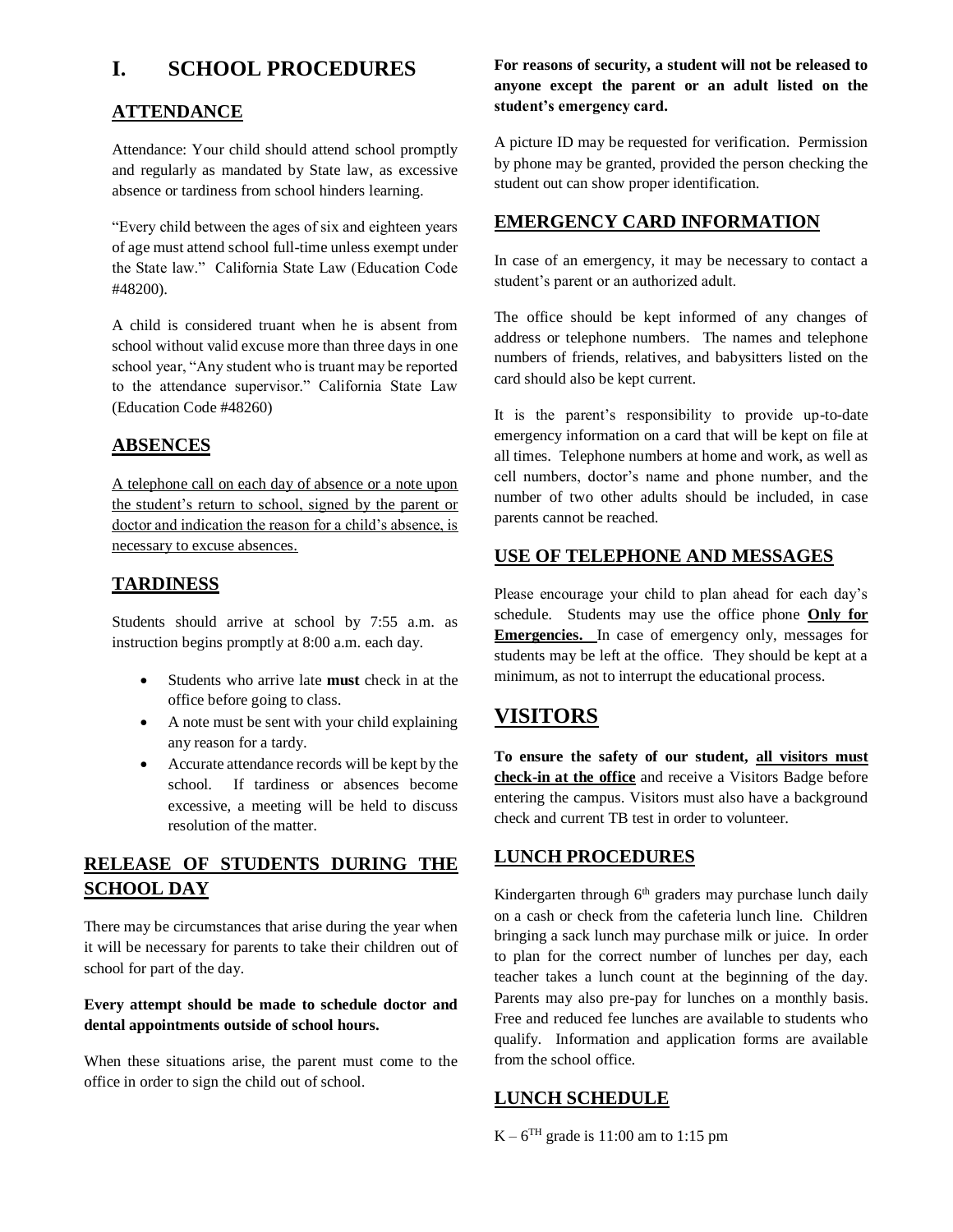## **I. SCHOOL PROCEDURES**

#### **ATTENDANCE**

Attendance: Your child should attend school promptly and regularly as mandated by State law, as excessive absence or tardiness from school hinders learning.

"Every child between the ages of six and eighteen years of age must attend school full-time unless exempt under the State law." California State Law (Education Code #48200).

A child is considered truant when he is absent from school without valid excuse more than three days in one school year, "Any student who is truant may be reported to the attendance supervisor." California State Law (Education Code #48260)

#### **ABSENCES**

A telephone call on each day of absence or a note upon the student's return to school, signed by the parent or doctor and indication the reason for a child's absence, is necessary to excuse absences.

#### **TARDINESS**

Students should arrive at school by 7:55 a.m. as instruction begins promptly at 8:00 a.m. each day.

- Students who arrive late **must** check in at the office before going to class.
- A note must be sent with your child explaining any reason for a tardy.
- Accurate attendance records will be kept by the school. If tardiness or absences become excessive, a meeting will be held to discuss resolution of the matter.

## **RELEASE OF STUDENTS DURING THE SCHOOL DAY**

There may be circumstances that arise during the year when it will be necessary for parents to take their children out of school for part of the day.

#### **Every attempt should be made to schedule doctor and dental appointments outside of school hours.**

When these situations arise, the parent must come to the office in order to sign the child out of school.

#### **For reasons of security, a student will not be released to anyone except the parent or an adult listed on the student's emergency card.**

A picture ID may be requested for verification. Permission by phone may be granted, provided the person checking the student out can show proper identification.

#### **EMERGENCY CARD INFORMATION**

In case of an emergency, it may be necessary to contact a student's parent or an authorized adult.

The office should be kept informed of any changes of address or telephone numbers. The names and telephone numbers of friends, relatives, and babysitters listed on the card should also be kept current.

It is the parent's responsibility to provide up-to-date emergency information on a card that will be kept on file at all times. Telephone numbers at home and work, as well as cell numbers, doctor's name and phone number, and the number of two other adults should be included, in case parents cannot be reached.

#### **USE OF TELEPHONE AND MESSAGES**

Please encourage your child to plan ahead for each day's schedule. Students may use the office phone **Only for Emergencies.** In case of emergency only, messages for students may be left at the office. They should be kept at a minimum, as not to interrupt the educational process.

## **VISITORS**

**To ensure the safety of our student, all visitors must check-in at the office** and receive a Visitors Badge before entering the campus. Visitors must also have a background check and current TB test in order to volunteer.

#### **LUNCH PROCEDURES**

Kindergarten through 6<sup>th</sup> graders may purchase lunch daily on a cash or check from the cafeteria lunch line. Children bringing a sack lunch may purchase milk or juice. In order to plan for the correct number of lunches per day, each teacher takes a lunch count at the beginning of the day. Parents may also pre-pay for lunches on a monthly basis. Free and reduced fee lunches are available to students who qualify. Information and application forms are available from the school office.

#### **LUNCH SCHEDULE**

 $K - 6<sup>TH</sup>$  grade is 11:00 am to 1:15 pm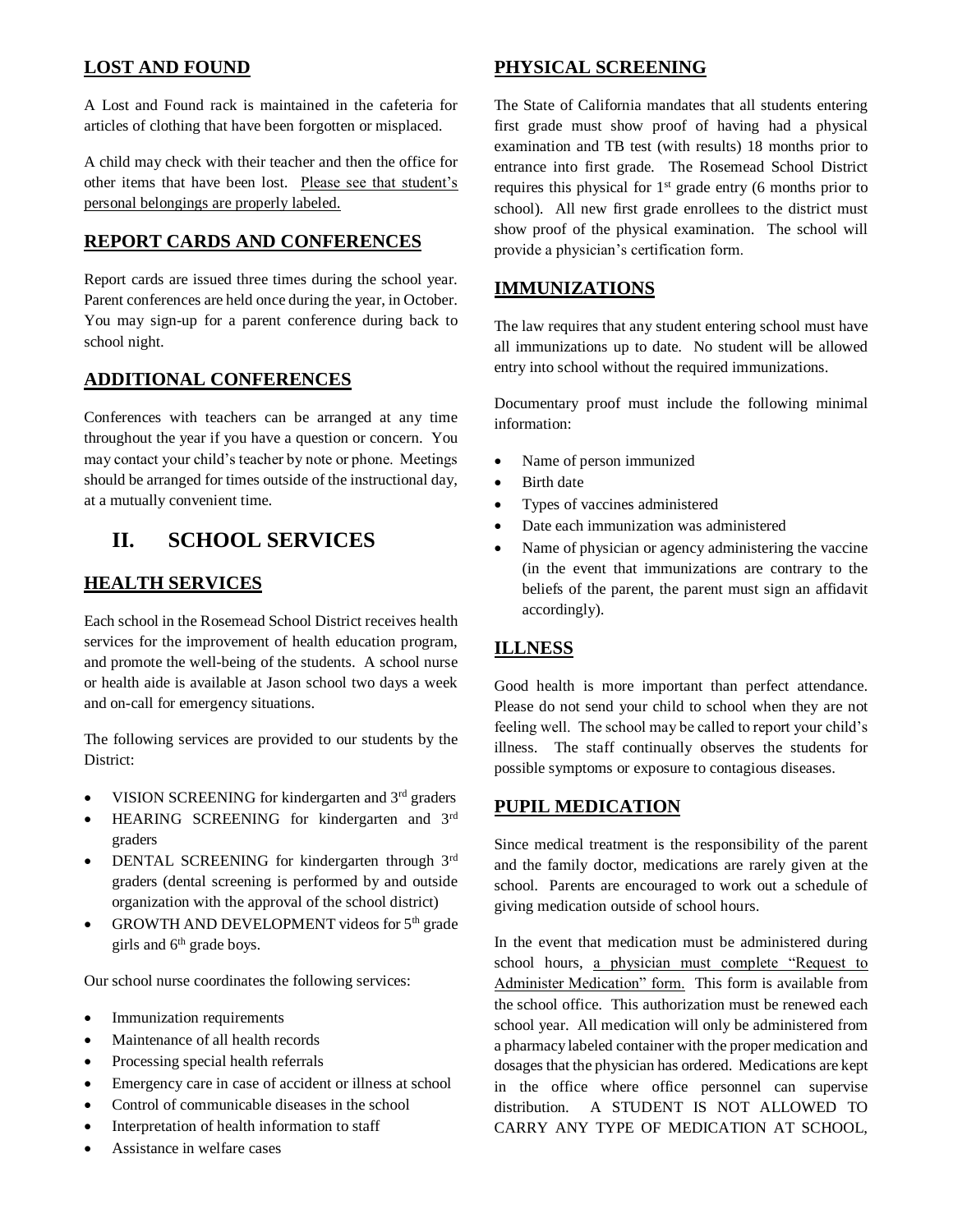#### **LOST AND FOUND**

A Lost and Found rack is maintained in the cafeteria for articles of clothing that have been forgotten or misplaced.

A child may check with their teacher and then the office for other items that have been lost. Please see that student's personal belongings are properly labeled.

#### **REPORT CARDS AND CONFERENCES**

Report cards are issued three times during the school year. Parent conferences are held once during the year, in October. You may sign-up for a parent conference during back to school night.

#### **ADDITIONAL CONFERENCES**

Conferences with teachers can be arranged at any time throughout the year if you have a question or concern. You may contact your child's teacher by note or phone. Meetings should be arranged for times outside of the instructional day, at a mutually convenient time.

## **II. SCHOOL SERVICES**

#### **HEALTH SERVICES**

Each school in the Rosemead School District receives health services for the improvement of health education program, and promote the well-being of the students. A school nurse or health aide is available at Jason school two days a week and on-call for emergency situations.

The following services are provided to our students by the District:

- VISION SCREENING for kindergarten and 3<sup>rd</sup> graders
- HEARING SCREENING for kindergarten and 3rd graders
- DENTAL SCREENING for kindergarten through 3rd graders (dental screening is performed by and outside organization with the approval of the school district)
- GROWTH AND DEVELOPMENT videos for 5<sup>th</sup> grade girls and  $6<sup>th</sup>$  grade boys.

Our school nurse coordinates the following services:

- Immunization requirements
- Maintenance of all health records
- Processing special health referrals
- Emergency care in case of accident or illness at school
- Control of communicable diseases in the school
- Interpretation of health information to staff
- Assistance in welfare cases

#### **PHYSICAL SCREENING**

The State of California mandates that all students entering first grade must show proof of having had a physical examination and TB test (with results) 18 months prior to entrance into first grade. The Rosemead School District requires this physical for  $1<sup>st</sup>$  grade entry (6 months prior to school). All new first grade enrollees to the district must show proof of the physical examination. The school will provide a physician's certification form.

#### **IMMUNIZATIONS**

The law requires that any student entering school must have all immunizations up to date. No student will be allowed entry into school without the required immunizations.

Documentary proof must include the following minimal information:

- Name of person immunized
- Birth date
- Types of vaccines administered
- Date each immunization was administered
- Name of physician or agency administering the vaccine (in the event that immunizations are contrary to the beliefs of the parent, the parent must sign an affidavit accordingly).

#### **ILLNESS**

Good health is more important than perfect attendance. Please do not send your child to school when they are not feeling well. The school may be called to report your child's illness. The staff continually observes the students for possible symptoms or exposure to contagious diseases.

#### **PUPIL MEDICATION**

Since medical treatment is the responsibility of the parent and the family doctor, medications are rarely given at the school. Parents are encouraged to work out a schedule of giving medication outside of school hours.

In the event that medication must be administered during school hours, a physician must complete "Request to Administer Medication" form. This form is available from the school office. This authorization must be renewed each school year. All medication will only be administered from a pharmacy labeled container with the proper medication and dosages that the physician has ordered. Medications are kept in the office where office personnel can supervise distribution. A STUDENT IS NOT ALLOWED TO CARRY ANY TYPE OF MEDICATION AT SCHOOL,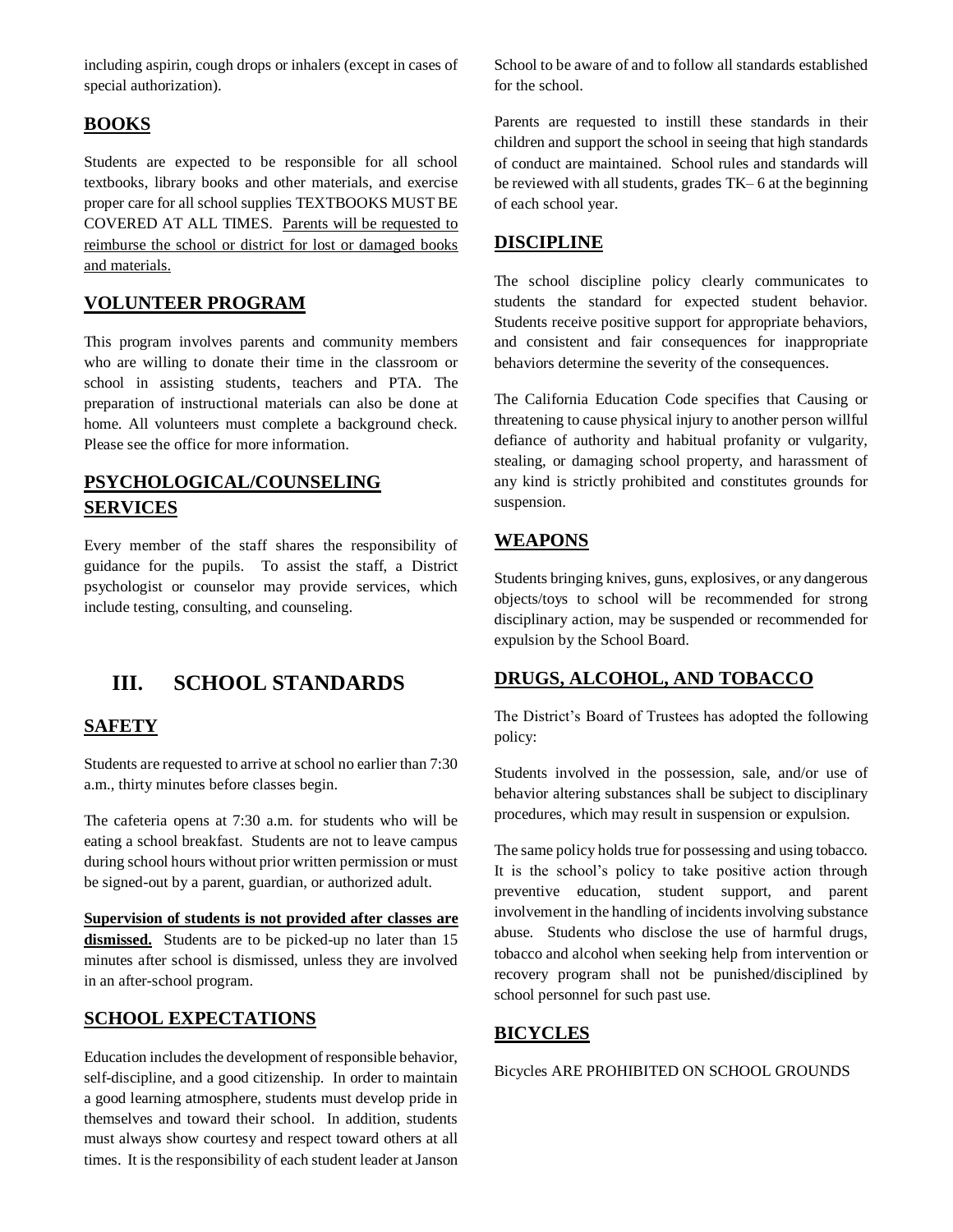including aspirin, cough drops or inhalers (except in cases of special authorization).

#### **BOOKS**

Students are expected to be responsible for all school textbooks, library books and other materials, and exercise proper care for all school supplies TEXTBOOKS MUST BE COVERED AT ALL TIMES. Parents will be requested to reimburse the school or district for lost or damaged books and materials.

#### **VOLUNTEER PROGRAM**

This program involves parents and community members who are willing to donate their time in the classroom or school in assisting students, teachers and PTA. The preparation of instructional materials can also be done at home. All volunteers must complete a background check. Please see the office for more information.

### **PSYCHOLOGICAL/COUNSELING SERVICES**

Every member of the staff shares the responsibility of guidance for the pupils. To assist the staff, a District psychologist or counselor may provide services, which include testing, consulting, and counseling.

## **III. SCHOOL STANDARDS**

#### **SAFETY**

Students are requested to arrive at school no earlier than 7:30 a.m., thirty minutes before classes begin.

The cafeteria opens at 7:30 a.m. for students who will be eating a school breakfast. Students are not to leave campus during school hours without prior written permission or must be signed-out by a parent, guardian, or authorized adult.

**Supervision of students is not provided after classes are dismissed.** Students are to be picked-up no later than 15 minutes after school is dismissed, unless they are involved in an after-school program.

#### **SCHOOL EXPECTATIONS**

Education includes the development of responsible behavior, self-discipline, and a good citizenship. In order to maintain a good learning atmosphere, students must develop pride in themselves and toward their school. In addition, students must always show courtesy and respect toward others at all times. It is the responsibility of each student leader at Janson School to be aware of and to follow all standards established for the school.

Parents are requested to instill these standards in their children and support the school in seeing that high standards of conduct are maintained. School rules and standards will be reviewed with all students, grades TK– 6 at the beginning of each school year.

#### **DISCIPLINE**

The school discipline policy clearly communicates to students the standard for expected student behavior. Students receive positive support for appropriate behaviors, and consistent and fair consequences for inappropriate behaviors determine the severity of the consequences.

The California Education Code specifies that Causing or threatening to cause physical injury to another person willful defiance of authority and habitual profanity or vulgarity, stealing, or damaging school property, and harassment of any kind is strictly prohibited and constitutes grounds for suspension.

#### **WEAPONS**

Students bringing knives, guns, explosives, or any dangerous objects/toys to school will be recommended for strong disciplinary action, may be suspended or recommended for expulsion by the School Board.

#### **DRUGS, ALCOHOL, AND TOBACCO**

The District's Board of Trustees has adopted the following policy:

Students involved in the possession, sale, and/or use of behavior altering substances shall be subject to disciplinary procedures, which may result in suspension or expulsion.

The same policy holds true for possessing and using tobacco. It is the school's policy to take positive action through preventive education, student support, and parent involvement in the handling of incidents involving substance abuse. Students who disclose the use of harmful drugs, tobacco and alcohol when seeking help from intervention or recovery program shall not be punished/disciplined by school personnel for such past use.

#### **BICYCLES**

Bicycles ARE PROHIBITED ON SCHOOL GROUNDS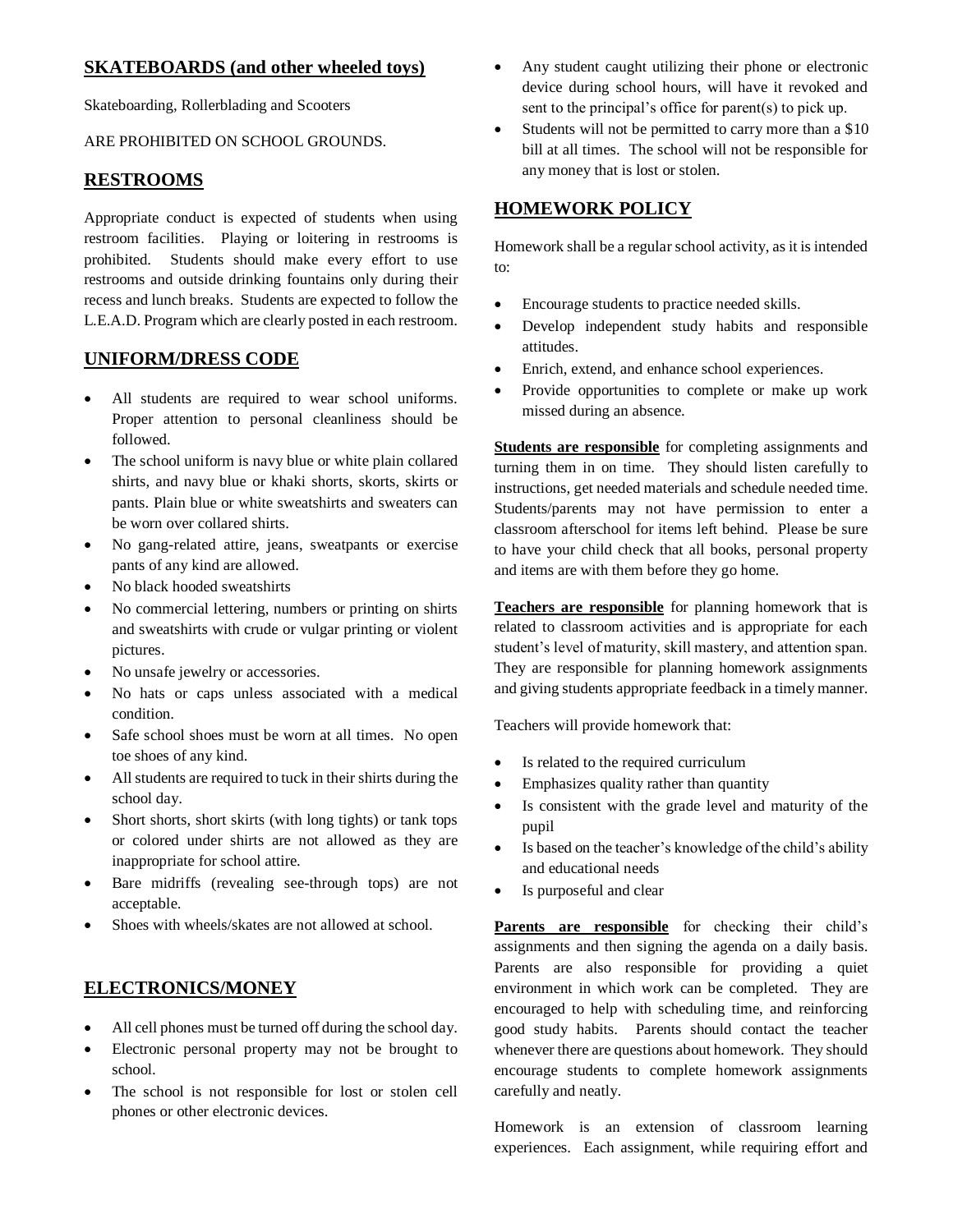#### **SKATEBOARDS (and other wheeled toys)**

Skateboarding, Rollerblading and Scooters

#### ARE PROHIBITED ON SCHOOL GROUNDS.

#### **RESTROOMS**

Appropriate conduct is expected of students when using restroom facilities. Playing or loitering in restrooms is prohibited. Students should make every effort to use restrooms and outside drinking fountains only during their recess and lunch breaks. Students are expected to follow the L.E.A.D. Program which are clearly posted in each restroom.

#### **UNIFORM/DRESS CODE**

- All students are required to wear school uniforms. Proper attention to personal cleanliness should be followed.
- The school uniform is navy blue or white plain collared shirts, and navy blue or khaki shorts, skorts, skirts or pants. Plain blue or white sweatshirts and sweaters can be worn over collared shirts.
- No gang-related attire, jeans, sweatpants or exercise pants of any kind are allowed.
- No black hooded sweatshirts
- No commercial lettering, numbers or printing on shirts and sweatshirts with crude or vulgar printing or violent pictures.
- No unsafe jewelry or accessories.
- No hats or caps unless associated with a medical condition.
- Safe school shoes must be worn at all times. No open toe shoes of any kind.
- All students are required to tuck in their shirts during the school day.
- Short shorts, short skirts (with long tights) or tank tops or colored under shirts are not allowed as they are inappropriate for school attire.
- Bare midriffs (revealing see-through tops) are not acceptable.
- Shoes with wheels/skates are not allowed at school.

#### **ELECTRONICS/MONEY**

- All cell phones must be turned off during the school day.
- Electronic personal property may not be brought to school.
- The school is not responsible for lost or stolen cell phones or other electronic devices.
- Any student caught utilizing their phone or electronic device during school hours, will have it revoked and sent to the principal's office for parent(s) to pick up.
- Students will not be permitted to carry more than a \$10 bill at all times. The school will not be responsible for any money that is lost or stolen.

#### **HOMEWORK POLICY**

Homework shall be a regular school activity, as it is intended to:

- Encourage students to practice needed skills.
- Develop independent study habits and responsible attitudes.
- Enrich, extend, and enhance school experiences.
- Provide opportunities to complete or make up work missed during an absence.

**Students are responsible** for completing assignments and turning them in on time. They should listen carefully to instructions, get needed materials and schedule needed time. Students/parents may not have permission to enter a classroom afterschool for items left behind. Please be sure to have your child check that all books, personal property and items are with them before they go home.

**Teachers are responsible** for planning homework that is related to classroom activities and is appropriate for each student's level of maturity, skill mastery, and attention span. They are responsible for planning homework assignments and giving students appropriate feedback in a timely manner.

Teachers will provide homework that:

- Is related to the required curriculum
- Emphasizes quality rather than quantity
- Is consistent with the grade level and maturity of the pupil
- Is based on the teacher's knowledge of the child's ability and educational needs
- Is purposeful and clear

Parents are responsible for checking their child's assignments and then signing the agenda on a daily basis. Parents are also responsible for providing a quiet environment in which work can be completed. They are encouraged to help with scheduling time, and reinforcing good study habits. Parents should contact the teacher whenever there are questions about homework. They should encourage students to complete homework assignments carefully and neatly.

Homework is an extension of classroom learning experiences. Each assignment, while requiring effort and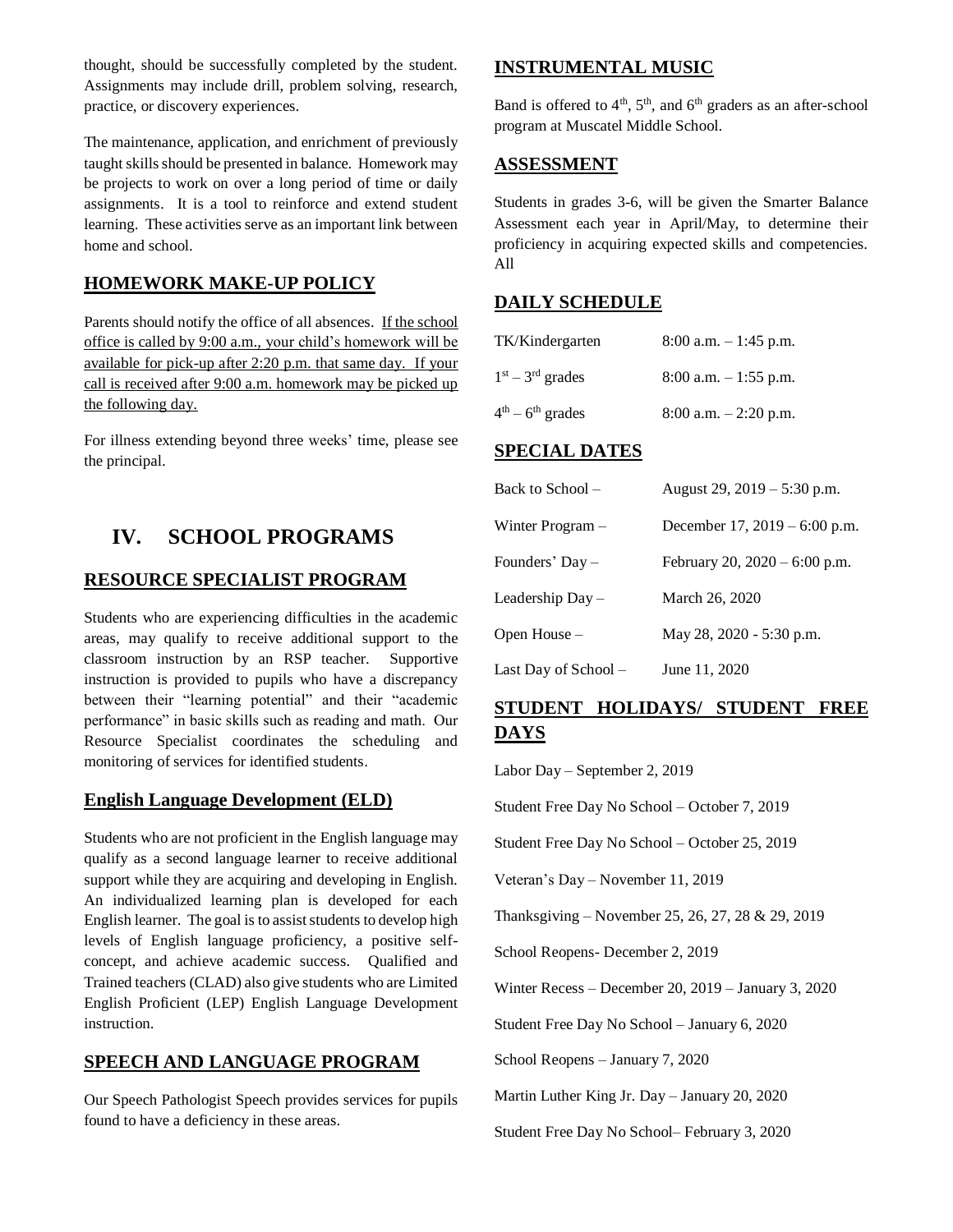thought, should be successfully completed by the student. Assignments may include drill, problem solving, research, practice, or discovery experiences.

The maintenance, application, and enrichment of previously taught skills should be presented in balance. Homework may be projects to work on over a long period of time or daily assignments. It is a tool to reinforce and extend student learning. These activities serve as an important link between home and school.

#### **HOMEWORK MAKE-UP POLICY**

Parents should notify the office of all absences. If the school office is called by 9:00 a.m., your child's homework will be available for pick-up after 2:20 p.m. that same day. If your call is received after 9:00 a.m. homework may be picked up the following day.

For illness extending beyond three weeks' time, please see the principal.

## **IV. SCHOOL PROGRAMS**

#### **RESOURCE SPECIALIST PROGRAM**

Students who are experiencing difficulties in the academic areas, may qualify to receive additional support to the classroom instruction by an RSP teacher. Supportive instruction is provided to pupils who have a discrepancy between their "learning potential" and their "academic performance" in basic skills such as reading and math. Our Resource Specialist coordinates the scheduling and monitoring of services for identified students.

#### **English Language Development (ELD)**

Students who are not proficient in the English language may qualify as a second language learner to receive additional support while they are acquiring and developing in English. An individualized learning plan is developed for each English learner. The goal is to assist students to develop high levels of English language proficiency, a positive selfconcept, and achieve academic success. Qualified and Trained teachers (CLAD) also give students who are Limited English Proficient (LEP) English Language Development instruction.

#### **SPEECH AND LANGUAGE PROGRAM**

Our Speech Pathologist Speech provides services for pupils found to have a deficiency in these areas.

#### **INSTRUMENTAL MUSIC**

Band is offered to  $4<sup>th</sup>$ ,  $5<sup>th</sup>$ , and  $6<sup>th</sup>$  graders as an after-school program at Muscatel Middle School.

#### **ASSESSMENT**

Students in grades 3-6, will be given the Smarter Balance Assessment each year in April/May, to determine their proficiency in acquiring expected skills and competencies. All

#### **DAILY SCHEDULE**

| TK/Kindergarten    | $8:00$ a.m. $-1:45$ p.m. |
|--------------------|--------------------------|
| $1st - 3rd$ grades | $8:00$ a.m. $-1:55$ p.m. |
| $4th - 6th$ grades | $8:00$ a.m. $-2:20$ p.m. |

#### **SPECIAL DATES**

| Back to School –     | August 29, 2019 – 5:30 p.m.     |
|----------------------|---------------------------------|
| Winter Program –     | December 17, $2019 - 6:00$ p.m. |
| Founders' Day –      | February 20, $2020 - 6:00$ p.m. |
| Leadership Day –     | March 26, 2020                  |
| Open House –         | May 28, 2020 - 5:30 p.m.        |
| Last Day of School - | June 11, 2020                   |

## **STUDENT HOLIDAYS/ STUDENT FREE DAYS**

Labor Day – September 2, 2019

Student Free Day No School – October 7, 2019

Student Free Day No School – October 25, 2019

Veteran's Day – November 11, 2019

Thanksgiving – November 25, 26, 27, 28 & 29, 2019

School Reopens- December 2, 2019

Winter Recess – December 20, 2019 – January 3, 2020

Student Free Day No School – January 6, 2020

School Reopens – January 7, 2020

Martin Luther King Jr. Day – January 20, 2020

Student Free Day No School– February 3, 2020